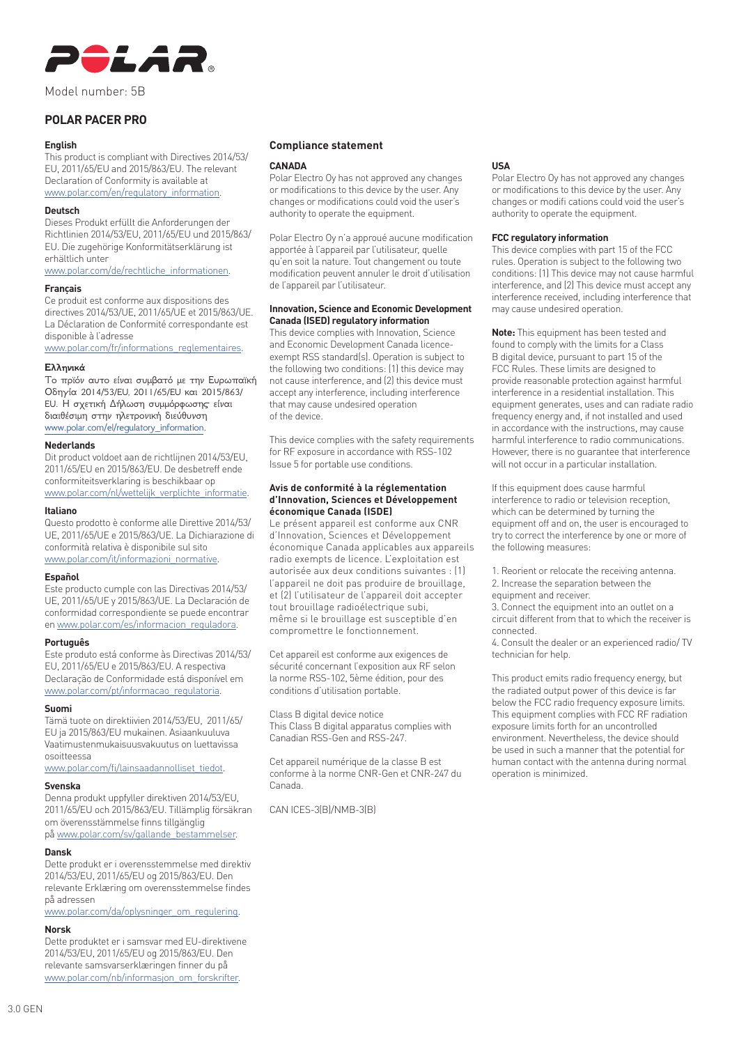

Model number: 5B

# **POLAR PACER PRO**

#### **English**

This product is compliant with Directives 2014/53/ EU, 2011/65/EU and 2015/863/EU. The relevant Declaration of Conformity is available at www.polar.com/en/regulatory\_information.

## **Deutsch**

Dieses Produkt erfüllt die Anforderungen der Richtlinien 2014/53/EU, 2011/65/EU und 2015/863/ EU. Die zugehörige Konformitätserklärung ist erhältlich unter

www.polar.com/de/rechtliche\_informationen.

## **Français**

Ce produit est conforme aux dispositions des directives 2014/53/UE, 2011/65/UE et 2015/863/UE. La Déclaration de Conformité correspondante est disponible à l'adresse

www.polar.com/fr/informations\_reglementaires.

## **Ελληνικά**

Το πρϊόν αυτο είναι συμβατό με την Ευρωπαϊκή Οδηγία 2014/53/EU, 2011/65/EU και 2015/863/ EU. Η σχετική Δήλωση συμμόρφωσης είναι διαιθέσιμη στην ηλετρονική διεύθυνση www.polar.com/el/regulatory\_information.

## **Nederlands**

Dit product voldoet aan de richtlijnen 2014/53/EU, 2011/65/EU en 2015/863/EU. De desbetreff ende conformiteitsverklaring is beschikbaar op

www.polar.com/nl/wettelijk\_verplichte\_informatie.

## **Italiano**

Questo prodotto è conforme alle Direttive 2014/53/ UE, 2011/65/UE e 2015/863/UE. La Dichiarazione di conformità relativa è disponibile sul sito www.polar.com/it/informazioni\_normative.

## **Español**

Este producto cumple con las Directivas 2014/53/ UE, 2011/65/UE y 2015/863/UE. La Declaración de conformidad correspondiente se puede encontrar en www.polar.com/es/informacion\_reguladora.

#### **Português**

Este produto está conforme às Directivas 2014/53/ EU, 2011/65/EU e 2015/863/EU. A respectiva Declaração de Conformidade está disponível em www.polar.com/pt/informacao\_regulatoria.

#### **Suomi**

Tämä tuote on direktiivien 2014/53/EU, 2011/65/ EU ja 2015/863/EU mukainen. Asiaankuuluva Vaatimustenmukaisuusvakuutus on luettavissa osoitteessa

www.polar.com/fi/lainsaadannolliset\_tiedot.

#### **Svenska**

Denna produkt uppfyller direktiven 2014/53/EU, 2011/65/EU och 2015/863/EU. Tillämplig försäkran om överensstämmelse finns tillgänglig på www.polar.com/sv/gallande\_bestammelser.

## **Dansk**

Dette produkt er i overensstemmelse med direktiv 2014/53/EU, 2011/65/EU og 2015/863/EU. Den relevante Erklæring om overensstemmelse findes på adressen

www.polar.com/da/oplysninger\_om\_regulering.

## **Norsk**

Dette produktet er i samsvar med EU-direktivene 2014/53/EU, 2011/65/EU og 2015/863/EU. Den relevante samsvarserklæringen finner du på www.polar.com/nb/informasjon\_om\_forskrifter.

## **Compliance statement**

#### **CANADA**

Polar Electro Oy has not approved any changes or modifications to this device by the user. Any changes or modifications could void the user's authority to operate the equipment.

Polar Electro Oy n'a approué aucune modification apportée à l'appareil par l'utilisateur, quelle qu'en soit la nature. Tout changement ou toute modification peuvent annuler le droit d'utilisation de l'appareil par l'utilisateur.

## **Innovation, Science and Economic Development Canada (ISED) regulatory information**

This device complies with Innovation, Science and Economic Development Canada licenceexempt RSS standard(s). Operation is subject to the following two conditions: (1) this device may not cause interference, and (2) this device must accept any interference, including interference that may cause undesired operation of the device.

This device complies with the safety requirements for RF exposure in accordance with RSS-102 Issue 5 for portable use conditions.

#### **Avis de conformité à la réglementation d'Innovation, Sciences et Développement économique Canada (ISDE)**

Le présent appareil est conforme aux CNR d'Innovation, Sciences et Développement économique Canada applicables aux appareils radio exempts de licence. L'exploitation est autorisée aux deux conditions suivantes : (1) l'appareil ne doit pas produire de brouillage, et (2) l'utilisateur de l'appareil doit accepter tout brouillage radioélectrique subi, même si le brouillage est susceptible d'en compromettre le fonctionnement.

Cet appareil est conforme aux exigences de sécurité concernant l'exposition aux RF selon la norme RSS-102, 5ème édition, pour des conditions d'utilisation portable.

Class B digital device notice This Class B digital apparatus complies with Canadian RSS-Gen and RSS-247.

Cet appareil numérique de la classe B est conforme à la norme CNR-Gen et CNR-247 du Canada.

CAN ICES-3(B)/NMB-3(B)

## **USA**

Polar Electro Oy has not approved any changes or modifications to this device by the user. Any changes or modifi cations could void the user's authority to operate the equipment.

#### **FCC regulatory information**

This device complies with part 15 of the FCC rules. Operation is subject to the following two conditions: (1) This device may not cause harmful interference, and (2) This device must accept any interference received, including interference that may cause undesired operation.

**Note:** This equipment has been tested and found to comply with the limits for a Class B digital device, pursuant to part 15 of the FCC Rules. These limits are designed to provide reasonable protection against harmful interference in a residential installation. This equipment generates, uses and can radiate radio frequency energy and, if not installed and used in accordance with the instructions, may cause harmful interference to radio communications. However, there is no guarantee that interference will not occur in a particular installation.

If this equipment does cause harmful interference to radio or television reception, which can be determined by turning the equipment off and on, the user is encouraged to try to correct the interference by one or more of the following measures:

1. Reorient or relocate the receiving antenna. 2. Increase the separation between the equipment and receiver.

3. Connect the equipment into an outlet on a circuit different from that to which the receiver is connected.

4. Consult the dealer or an experienced radio/ TV technician for help.

This product emits radio frequency energy, but the radiated output power of this device is far below the FCC radio frequency exposure limits. This equipment complies with FCC RF radiation exposure limits forth for an uncontrolled environment. Nevertheless, the device should be used in such a manner that the potential for human contact with the antenna during normal operation is minimized.